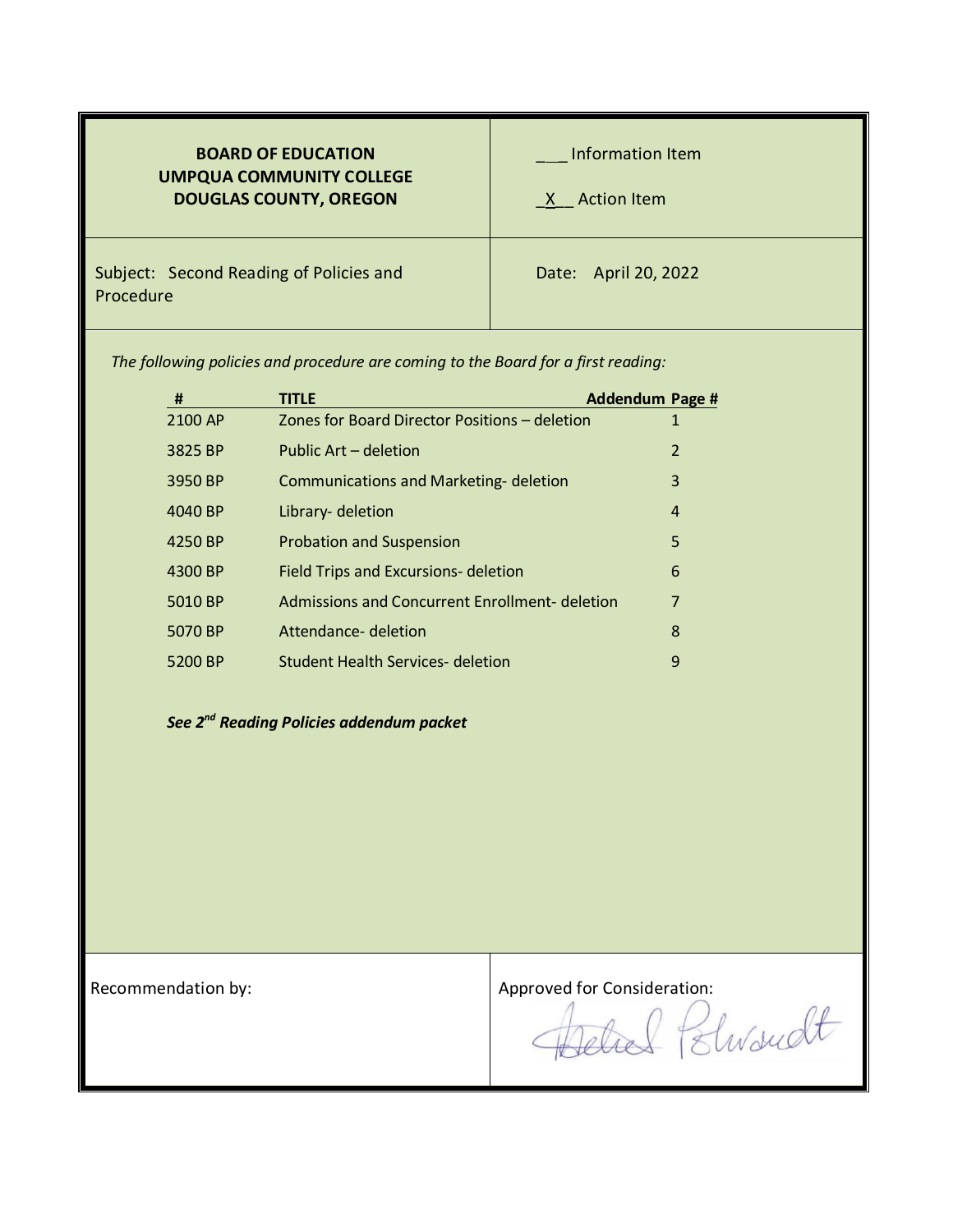| <b>BOARD OF EDUCATION</b><br><b>UMPQUA COMMUNITY COLLEGE</b><br><b>DOUGLAS COUNTY, OREGON</b> | Information Item<br>X Action Item |
|-----------------------------------------------------------------------------------------------|-----------------------------------|
| Subject: Second Reading of Policies and<br>Procedure                                          | Date: April 20, 2022              |

*The following policies and procedure are coming to the Board for a first reading:*

| #       | <b>TITLE</b>                                   | Addendum Page # |
|---------|------------------------------------------------|-----------------|
| 2100 AP | Zones for Board Director Positions - deletion  | 1               |
| 3825 BP | Public Art – deletion                          | $\overline{2}$  |
| 3950 BP | <b>Communications and Marketing- deletion</b>  | 3               |
| 4040 BP | Library- deletion                              | 4               |
| 4250 BP | <b>Probation and Suspension</b>                | 5               |
| 4300 BP | Field Trips and Excursions- deletion           | 6               |
| 5010 BP | Admissions and Concurrent Enrollment- deletion | 7               |
| 5070 BP | Attendance- deletion                           | 8               |
| 5200 BP | Student Health Services- deletion              | 9               |

### *See 2nd Reading Policies addendum packet*

Recommendation by:<br>Approved for Consideration:<br>Approved for Consideration:<br>Elwardt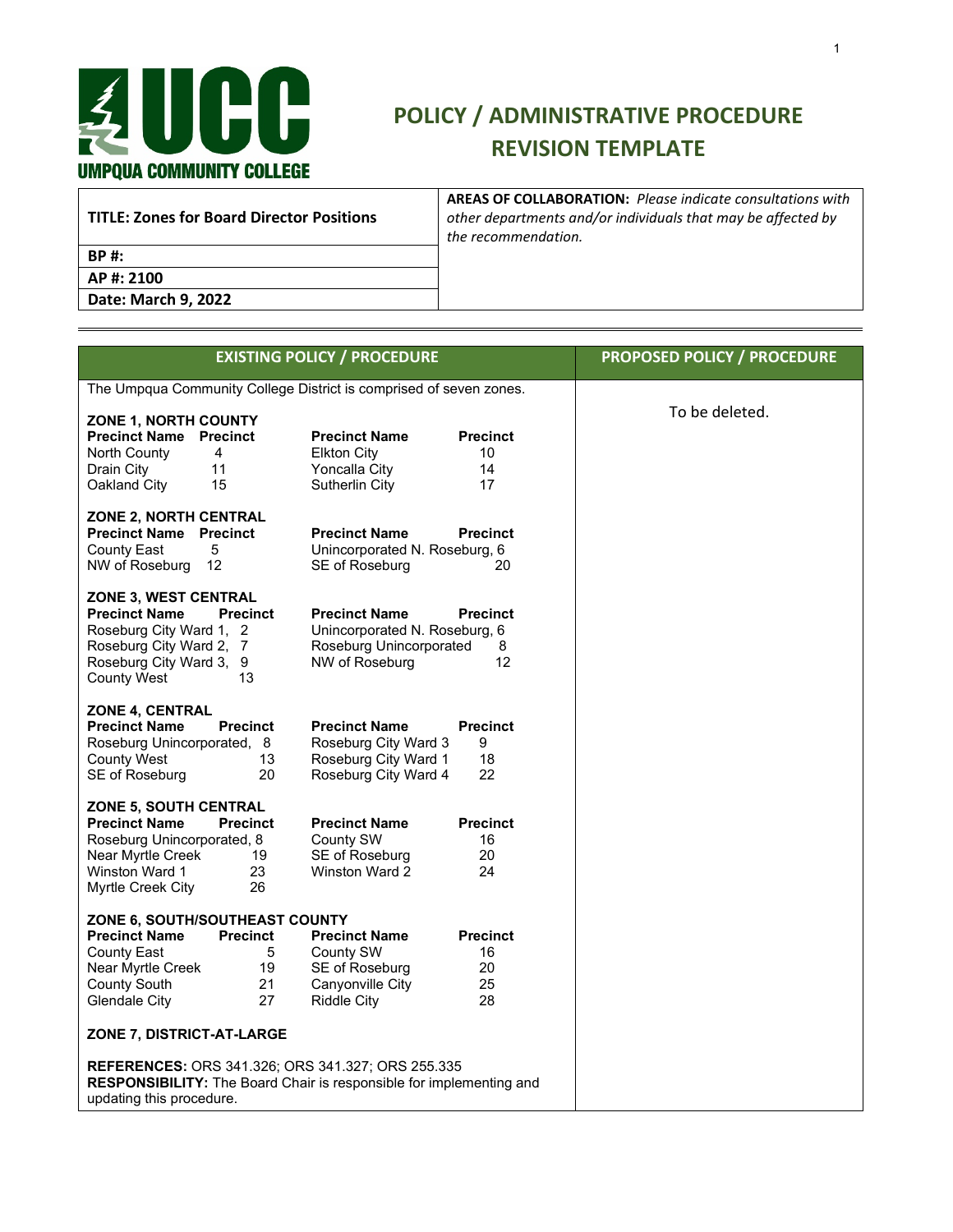

### **POLICY / ADMINISTRATIVE PROCEDURE REVISION TEMPLATE**

**TITLE: Zones for Board Director Positions**

**AREAS OF COLLABORATION:** *Please indicate consultations with other departments and/or individuals that may be affected by the recommendation.*

**BP #:**

**AP #: 2100 Date: March 9, 2022**

|                                                                                                                                                                                                 | <b>EXISTING POLICY / PROCEDURE</b>                                                                 |                                         | <b>PROPOSED POLICY / PROCEDURE</b> |
|-------------------------------------------------------------------------------------------------------------------------------------------------------------------------------------------------|----------------------------------------------------------------------------------------------------|-----------------------------------------|------------------------------------|
| The Umpqua Community College District is comprised of seven zones.                                                                                                                              |                                                                                                    |                                         |                                    |
| ZONE 1, NORTH COUNTY<br><b>Precinct Name Precinct</b><br>North County<br>4<br>11<br>Drain City<br>Oakland City<br>15                                                                            | <b>Precinct Name</b><br><b>Elkton City</b><br>Yoncalla City<br>Sutherlin City                      | <b>Precinct</b><br>10<br>14<br>17       | To be deleted.                     |
| <b>ZONE 2, NORTH CENTRAL</b><br><b>Precinct Name Precinct</b><br><b>County East</b><br>5<br>NW of Roseburg<br>-12                                                                               | <b>Precinct Name</b><br>Unincorporated N. Roseburg, 6<br>SE of Roseburg                            | <b>Precinct</b><br>20                   |                                    |
| ZONE 3, WEST CENTRAL<br><b>Precinct Name</b><br><b>Precinct</b><br>Roseburg City Ward 1, 2<br>Roseburg City Ward 2, 7<br>Roseburg City Ward 3, 9<br><b>County West</b><br>13                    | <b>Precinct Name</b><br>Unincorporated N. Roseburg, 6<br>Roseburg Unincorporated<br>NW of Roseburg | <b>Precinct</b><br>8<br>12              |                                    |
| <b>ZONE 4, CENTRAL</b><br><b>Precinct Name</b><br><b>Precinct</b><br>Roseburg Unincorporated, 8<br><b>County West</b><br>13<br>20<br>SE of Roseburg                                             | <b>Precinct Name</b><br>Roseburg City Ward 3<br>Roseburg City Ward 1<br>Roseburg City Ward 4       | <b>Precinct</b><br>9<br>18<br>22        |                                    |
| <b>ZONE 5, SOUTH CENTRAL</b><br><b>Precinct Name</b><br><b>Precinct</b><br>Roseburg Unincorporated, 8<br>Near Myrtle Creek<br>19<br>Winston Ward 1<br>23<br>26<br>Myrtle Creek City             | <b>Precinct Name</b><br>County SW<br>SE of Roseburg<br>Winston Ward 2                              | <b>Precinct</b><br>16<br>20<br>24       |                                    |
| ZONE 6, SOUTH/SOUTHEAST COUNTY<br><b>Precinct Name</b><br><b>Precinct</b><br>County East<br>5<br>Near Myrtle Creek<br>19<br><b>County South</b><br>21<br><b>Glendale City</b><br>27             | <b>Precinct Name</b><br>County SW<br>SE of Roseburg<br>Canyonville City<br><b>Riddle City</b>      | <b>Precinct</b><br>16<br>20<br>25<br>28 |                                    |
| ZONE 7, DISTRICT-AT-LARGE<br><b>REFERENCES: ORS 341.326; ORS 341.327; ORS 255.335</b><br><b>RESPONSIBILITY:</b> The Board Chair is responsible for implementing and<br>updating this procedure. |                                                                                                    |                                         |                                    |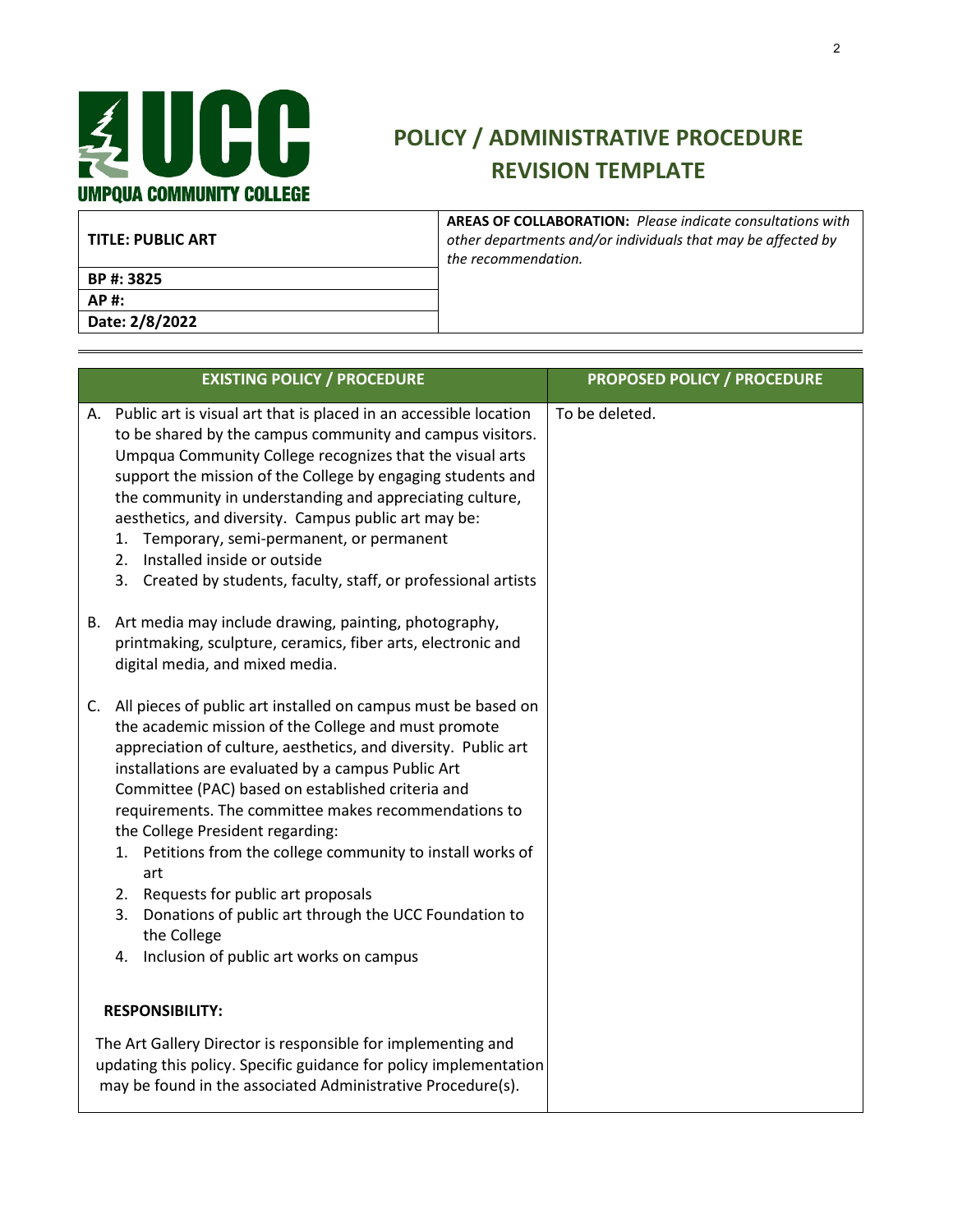

| <b>TITLE: PUBLIC ART</b> | <b>AREAS OF COLLABORATION: Please indicate consultations with</b><br>other departments and/or individuals that may be affected by<br>the recommendation. |
|--------------------------|----------------------------------------------------------------------------------------------------------------------------------------------------------|
| BP #: 3825               |                                                                                                                                                          |
| AP #:                    |                                                                                                                                                          |
| Date: 2/8/2022           |                                                                                                                                                          |

|    | <b>EXISTING POLICY / PROCEDURE</b>                                                                                                                                                                                                                                                                                                                                                                                                                                                                                                                                                                                                       | <b>PROPOSED POLICY / PROCEDURE</b> |
|----|------------------------------------------------------------------------------------------------------------------------------------------------------------------------------------------------------------------------------------------------------------------------------------------------------------------------------------------------------------------------------------------------------------------------------------------------------------------------------------------------------------------------------------------------------------------------------------------------------------------------------------------|------------------------------------|
|    | A. Public art is visual art that is placed in an accessible location<br>to be shared by the campus community and campus visitors.<br>Umpqua Community College recognizes that the visual arts<br>support the mission of the College by engaging students and<br>the community in understanding and appreciating culture,<br>aesthetics, and diversity. Campus public art may be:<br>1. Temporary, semi-permanent, or permanent<br>2. Installed inside or outside<br>3. Created by students, faculty, staff, or professional artists                                                                                                      | To be deleted.                     |
|    | B. Art media may include drawing, painting, photography,<br>printmaking, sculpture, ceramics, fiber arts, electronic and<br>digital media, and mixed media.                                                                                                                                                                                                                                                                                                                                                                                                                                                                              |                                    |
| C. | All pieces of public art installed on campus must be based on<br>the academic mission of the College and must promote<br>appreciation of culture, aesthetics, and diversity. Public art<br>installations are evaluated by a campus Public Art<br>Committee (PAC) based on established criteria and<br>requirements. The committee makes recommendations to<br>the College President regarding:<br>1. Petitions from the college community to install works of<br>art<br>2. Requests for public art proposals<br>Donations of public art through the UCC Foundation to<br>3.<br>the College<br>4. Inclusion of public art works on campus |                                    |
|    | <b>RESPONSIBILITY:</b>                                                                                                                                                                                                                                                                                                                                                                                                                                                                                                                                                                                                                   |                                    |
|    | The Art Gallery Director is responsible for implementing and<br>updating this policy. Specific guidance for policy implementation<br>may be found in the associated Administrative Procedure(s).                                                                                                                                                                                                                                                                                                                                                                                                                                         |                                    |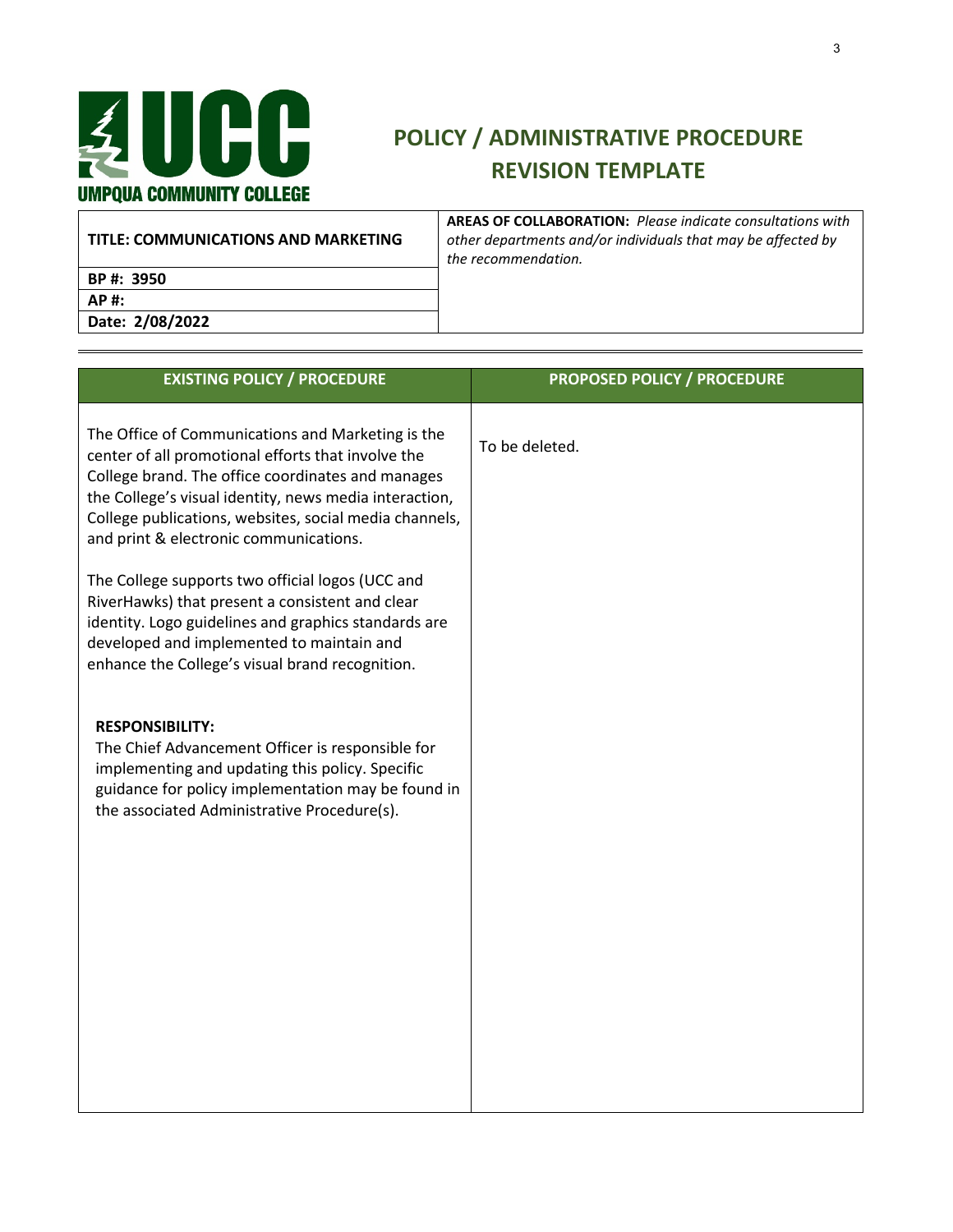

| TITLE: COMMUNICATIONS AND MARKETING | <b>AREAS OF COLLABORATION: Please indicate consultations with</b><br>other departments and/or individuals that may be affected by<br>the recommendation. |
|-------------------------------------|----------------------------------------------------------------------------------------------------------------------------------------------------------|
| BP #: 3950                          |                                                                                                                                                          |
| AP #:                               |                                                                                                                                                          |
| Date: 2/08/2022                     |                                                                                                                                                          |

| <b>EXISTING POLICY / PROCEDURE</b>                                                                                                                                                                                                                                                                                         | <b>PROPOSED POLICY / PROCEDURE</b> |
|----------------------------------------------------------------------------------------------------------------------------------------------------------------------------------------------------------------------------------------------------------------------------------------------------------------------------|------------------------------------|
| The Office of Communications and Marketing is the<br>center of all promotional efforts that involve the<br>College brand. The office coordinates and manages<br>the College's visual identity, news media interaction,<br>College publications, websites, social media channels,<br>and print & electronic communications. | To be deleted.                     |
| The College supports two official logos (UCC and<br>RiverHawks) that present a consistent and clear<br>identity. Logo guidelines and graphics standards are<br>developed and implemented to maintain and<br>enhance the College's visual brand recognition.                                                                |                                    |
| <b>RESPONSIBILITY:</b><br>The Chief Advancement Officer is responsible for<br>implementing and updating this policy. Specific<br>guidance for policy implementation may be found in<br>the associated Administrative Procedure(s).                                                                                         |                                    |
|                                                                                                                                                                                                                                                                                                                            |                                    |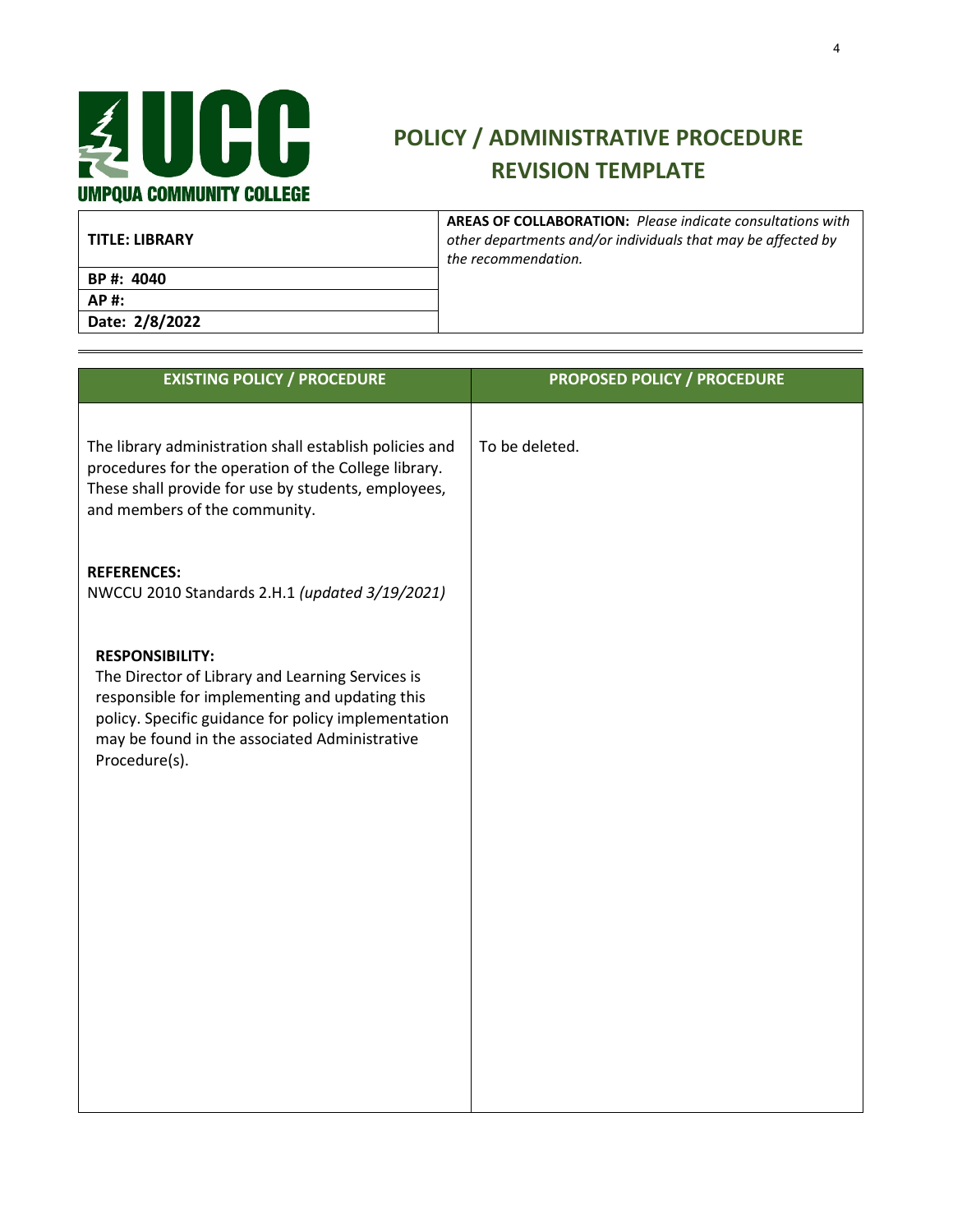

| TITLE: LIBRARY | <b>AREAS OF COLLABORATION: Please indicate consultations with</b><br>other departments and/or individuals that may be affected by<br>the recommendation. |
|----------------|----------------------------------------------------------------------------------------------------------------------------------------------------------|
| BP #: 4040     |                                                                                                                                                          |
| AP#:           |                                                                                                                                                          |
| Date: 2/8/2022 |                                                                                                                                                          |

| <b>EXISTING POLICY / PROCEDURE</b>                                                                                                                                                                                                                    | <b>PROPOSED POLICY / PROCEDURE</b> |
|-------------------------------------------------------------------------------------------------------------------------------------------------------------------------------------------------------------------------------------------------------|------------------------------------|
| The library administration shall establish policies and<br>procedures for the operation of the College library.<br>These shall provide for use by students, employees,<br>and members of the community.                                               | To be deleted.                     |
| <b>REFERENCES:</b><br>NWCCU 2010 Standards 2.H.1 (updated 3/19/2021)                                                                                                                                                                                  |                                    |
| <b>RESPONSIBILITY:</b><br>The Director of Library and Learning Services is<br>responsible for implementing and updating this<br>policy. Specific guidance for policy implementation<br>may be found in the associated Administrative<br>Procedure(s). |                                    |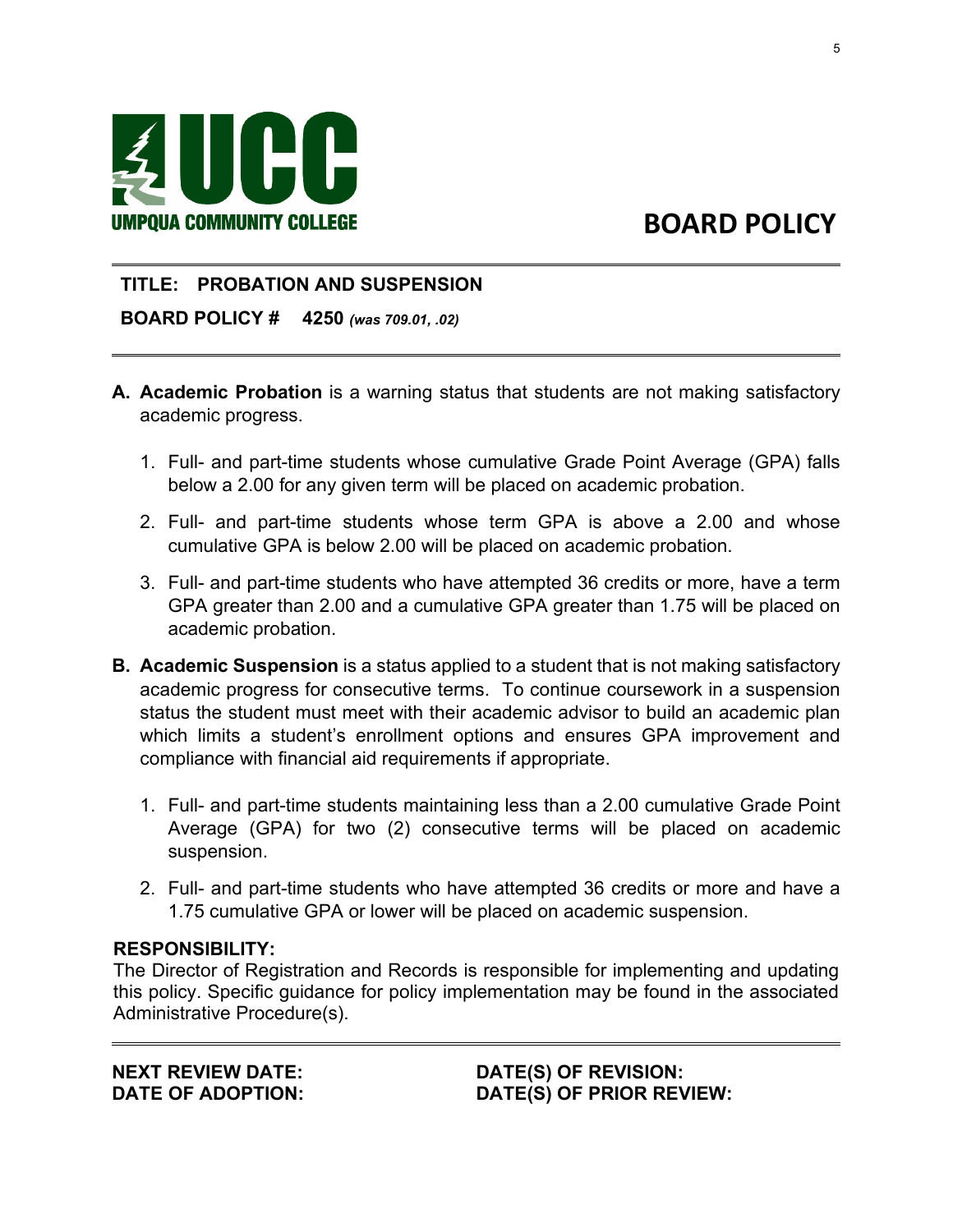

 $\overline{a}$ 

### **TITLE: PROBATION AND SUSPENSION**

**BOARD POLICY # 4250** *(was 709.01, .02)*

- **A. Academic Probation** is a warning status that students are not making satisfactory academic progress.
	- 1. Full- and part-time students whose cumulative Grade Point Average (GPA) falls below a 2.00 for any given term will be placed on academic probation.
	- 2. Full- and part-time students whose term GPA is above a 2.00 and whose cumulative GPA is below 2.00 will be placed on academic probation.
	- 3. Full- and part-time students who have attempted 36 credits or more, have a term GPA greater than 2.00 and a cumulative GPA greater than 1.75 will be placed on academic probation.
- **B. Academic Suspension** is a status applied to a student that is not making satisfactory academic progress for consecutive terms. To continue coursework in a suspension status the student must meet with their academic advisor to build an academic plan which limits a student's enrollment options and ensures GPA improvement and compliance with financial aid requirements if appropriate.
	- 1. Full- and part-time students maintaining less than a 2.00 cumulative Grade Point Average (GPA) for two (2) consecutive terms will be placed on academic suspension.
	- 2. Full- and part-time students who have attempted 36 credits or more and have a 1.75 cumulative GPA or lower will be placed on academic suspension.

#### **RESPONSIBILITY:**

 $\overline{a}$ 

The Director of Registration and Records is responsible for implementing and updating this policy. Specific guidance for policy implementation may be found in the associated Administrative Procedure(s).

**NEXT REVIEW DATE: DATE OF ADOPTION:** **DATE(S) OF REVISION: DATE(S) OF PRIOR REVIEW:**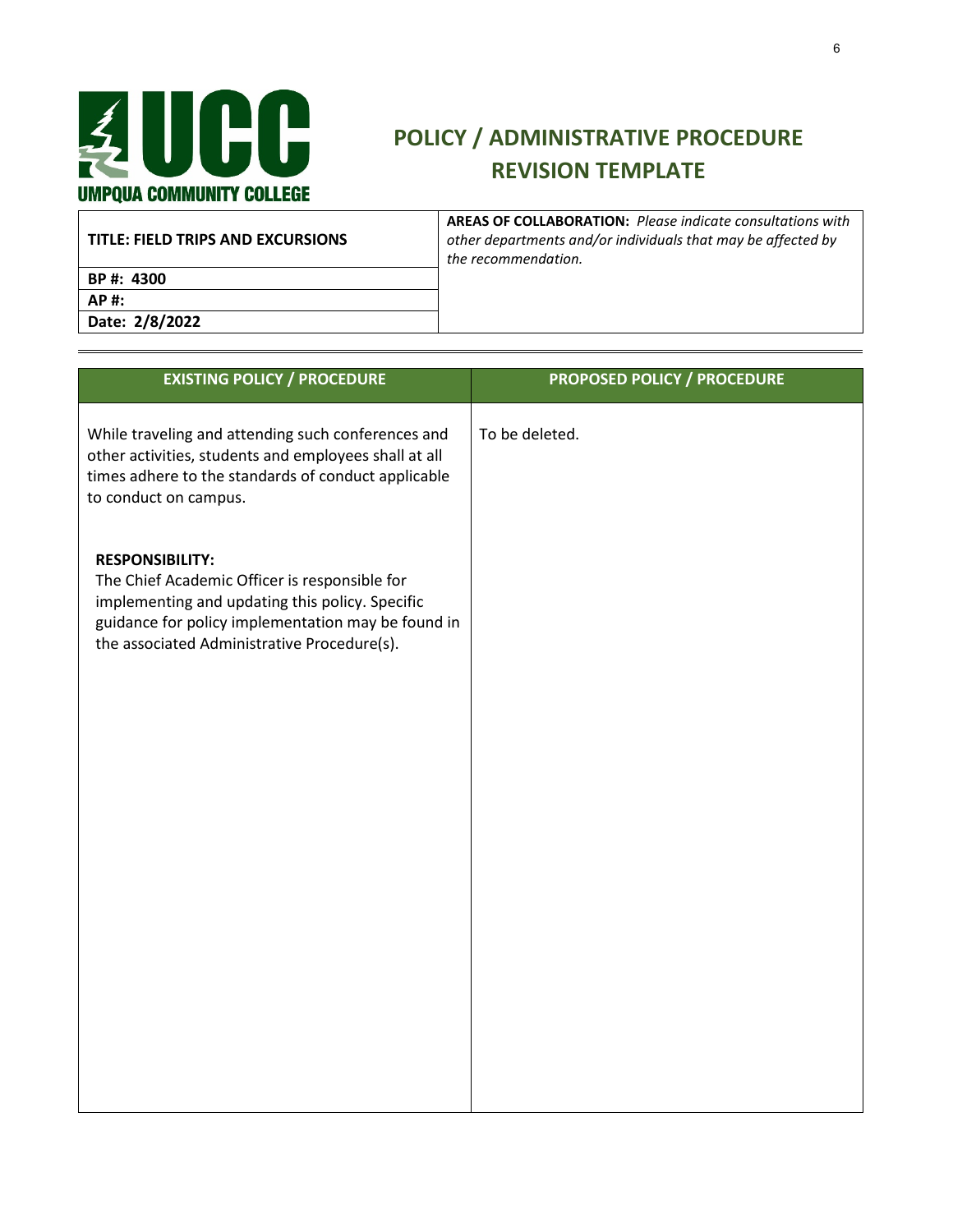

| TITLE: FIELD TRIPS AND EXCURSIONS | <b>AREAS OF COLLABORATION:</b> Please indicate consultations with<br>other departments and/or individuals that may be affected by<br>the recommendation. |
|-----------------------------------|----------------------------------------------------------------------------------------------------------------------------------------------------------|
| BP #: 4300                        |                                                                                                                                                          |
| AP #:                             |                                                                                                                                                          |
| Date: 2/8/2022                    |                                                                                                                                                          |

| <b>EXISTING POLICY / PROCEDURE</b>                                                                                                                                                                                              | <b>PROPOSED POLICY / PROCEDURE</b> |
|---------------------------------------------------------------------------------------------------------------------------------------------------------------------------------------------------------------------------------|------------------------------------|
| While traveling and attending such conferences and<br>other activities, students and employees shall at all<br>times adhere to the standards of conduct applicable<br>to conduct on campus.                                     | To be deleted.                     |
| <b>RESPONSIBILITY:</b><br>The Chief Academic Officer is responsible for<br>implementing and updating this policy. Specific<br>guidance for policy implementation may be found in<br>the associated Administrative Procedure(s). |                                    |
|                                                                                                                                                                                                                                 |                                    |
|                                                                                                                                                                                                                                 |                                    |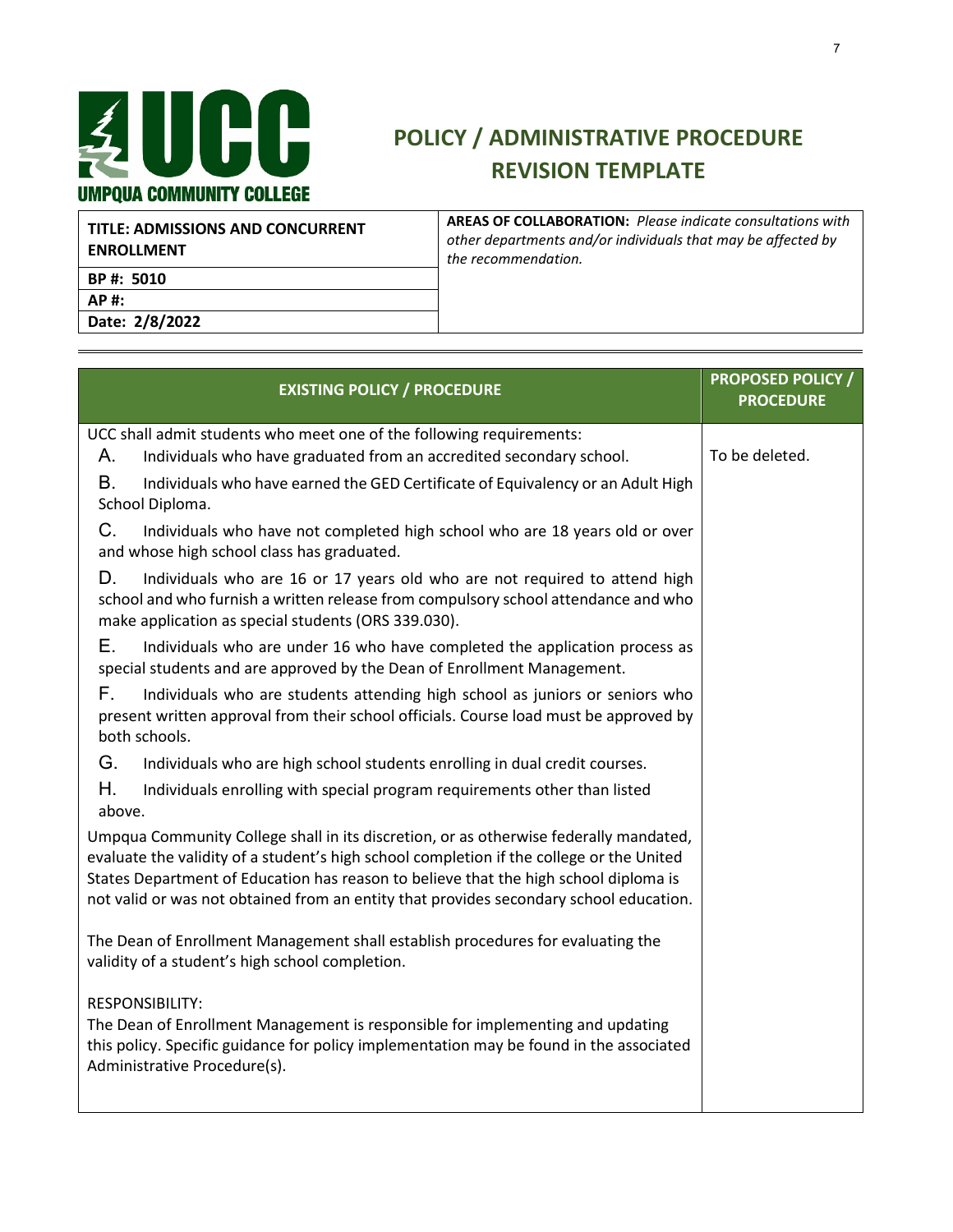

| TITLE: ADMISSIONS AND CONCURRENT<br><b>ENROLLMENT</b> | <b>AREAS OF COLLABORATION:</b> Please indicate consultations with<br>other departments and/or individuals that may be affected by<br>the recommendation. |
|-------------------------------------------------------|----------------------------------------------------------------------------------------------------------------------------------------------------------|
| BP #: 5010                                            |                                                                                                                                                          |
| <b>AP#:</b>                                           |                                                                                                                                                          |
| Date: 2/8/2022                                        |                                                                                                                                                          |

| <b>EXISTING POLICY / PROCEDURE</b>                                                                                                                                                                                                                                                                                                                                  | <b>PROPOSED POLICY /</b><br><b>PROCEDURE</b> |
|---------------------------------------------------------------------------------------------------------------------------------------------------------------------------------------------------------------------------------------------------------------------------------------------------------------------------------------------------------------------|----------------------------------------------|
| UCC shall admit students who meet one of the following requirements:                                                                                                                                                                                                                                                                                                |                                              |
| Individuals who have graduated from an accredited secondary school.<br>Α.                                                                                                                                                                                                                                                                                           | To be deleted.                               |
| <b>B.</b><br>Individuals who have earned the GED Certificate of Equivalency or an Adult High<br>School Diploma.                                                                                                                                                                                                                                                     |                                              |
| $C_{\cdot}$<br>Individuals who have not completed high school who are 18 years old or over<br>and whose high school class has graduated.                                                                                                                                                                                                                            |                                              |
| D.<br>Individuals who are 16 or 17 years old who are not required to attend high<br>school and who furnish a written release from compulsory school attendance and who<br>make application as special students (ORS 339.030).                                                                                                                                       |                                              |
| Е.<br>Individuals who are under 16 who have completed the application process as<br>special students and are approved by the Dean of Enrollment Management.                                                                                                                                                                                                         |                                              |
| F.<br>Individuals who are students attending high school as juniors or seniors who<br>present written approval from their school officials. Course load must be approved by<br>both schools.                                                                                                                                                                        |                                              |
| G.<br>Individuals who are high school students enrolling in dual credit courses.                                                                                                                                                                                                                                                                                    |                                              |
| Η.<br>Individuals enrolling with special program requirements other than listed<br>above.                                                                                                                                                                                                                                                                           |                                              |
| Umpqua Community College shall in its discretion, or as otherwise federally mandated,<br>evaluate the validity of a student's high school completion if the college or the United<br>States Department of Education has reason to believe that the high school diploma is<br>not valid or was not obtained from an entity that provides secondary school education. |                                              |
| The Dean of Enrollment Management shall establish procedures for evaluating the<br>validity of a student's high school completion.                                                                                                                                                                                                                                  |                                              |
| <b>RESPONSIBILITY:</b><br>The Dean of Enrollment Management is responsible for implementing and updating<br>this policy. Specific guidance for policy implementation may be found in the associated<br>Administrative Procedure(s).                                                                                                                                 |                                              |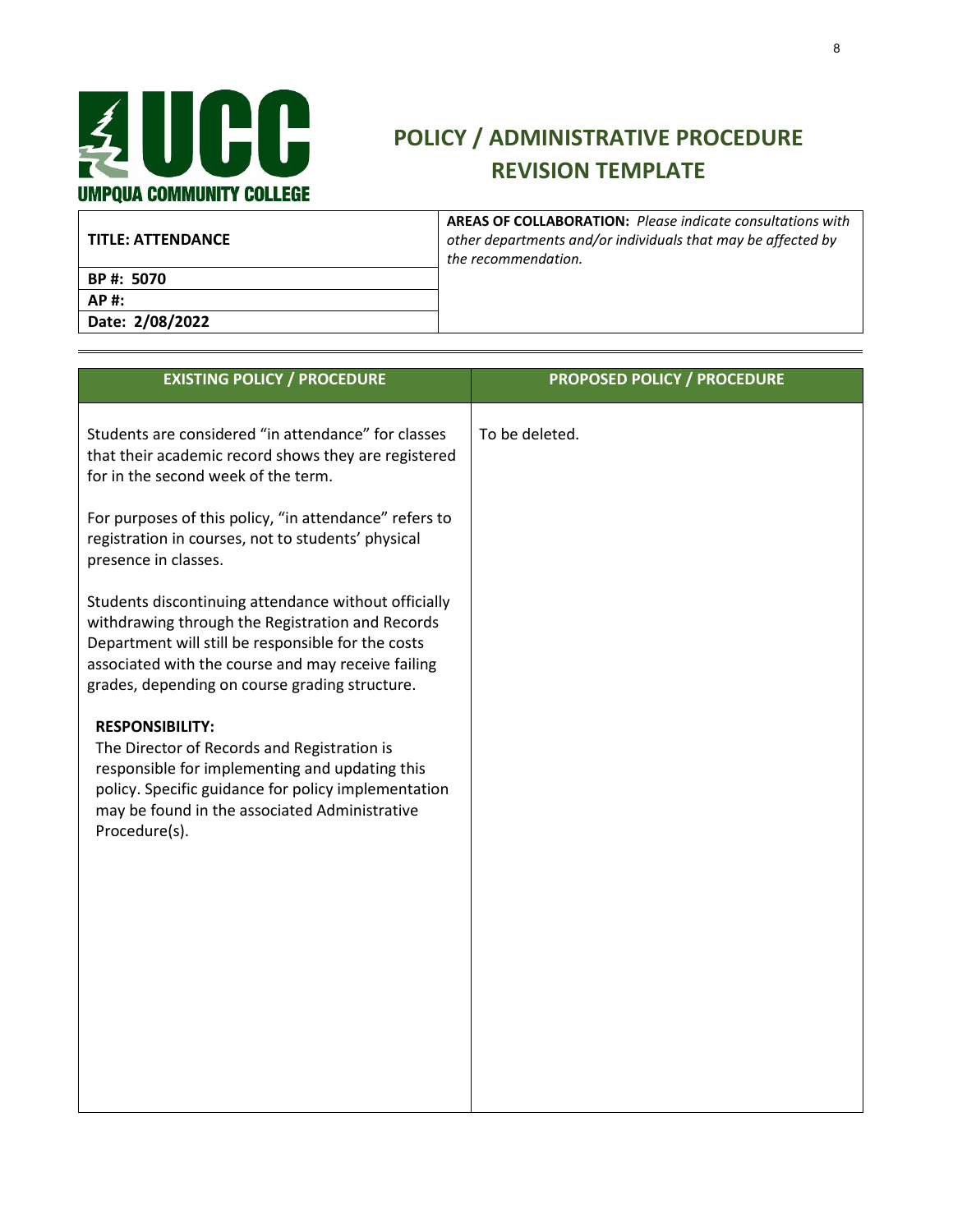

| l TITLE: ATTENDANCE | <b>AREAS OF COLLABORATION: Please indicate consultations with</b><br>other departments and/or individuals that may be affected by<br>the recommendation. |
|---------------------|----------------------------------------------------------------------------------------------------------------------------------------------------------|
| BP #: 5070          |                                                                                                                                                          |
| AP#:                |                                                                                                                                                          |
| Date: 2/08/2022     |                                                                                                                                                          |

| <b>EXISTING POLICY / PROCEDURE</b>                                                                                                                                                                                                                                     | <b>PROPOSED POLICY / PROCEDURE</b> |
|------------------------------------------------------------------------------------------------------------------------------------------------------------------------------------------------------------------------------------------------------------------------|------------------------------------|
| Students are considered "in attendance" for classes<br>that their academic record shows they are registered<br>for in the second week of the term.                                                                                                                     | To be deleted.                     |
| For purposes of this policy, "in attendance" refers to<br>registration in courses, not to students' physical<br>presence in classes.                                                                                                                                   |                                    |
| Students discontinuing attendance without officially<br>withdrawing through the Registration and Records<br>Department will still be responsible for the costs<br>associated with the course and may receive failing<br>grades, depending on course grading structure. |                                    |
| <b>RESPONSIBILITY:</b><br>The Director of Records and Registration is<br>responsible for implementing and updating this<br>policy. Specific guidance for policy implementation<br>may be found in the associated Administrative<br>Procedure(s).                       |                                    |
|                                                                                                                                                                                                                                                                        |                                    |
|                                                                                                                                                                                                                                                                        |                                    |
|                                                                                                                                                                                                                                                                        |                                    |